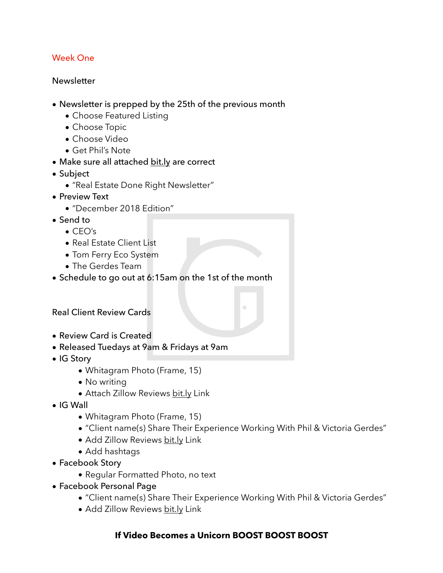## Week One

#### **Newsletter**

- Newsletter is prepped by the 25th of the previous month
	- Choose Featured Listing
	- Choose Topic
	- Choose Video
	- Get Phil's Note
- Make sure all attached [bit.ly](http://bit.ly) are correct
- Subject
	- "Real Estate Done Right Newsletter"
- Preview Text
	- "December 2018 Edition"
- Send to
	- $\bullet$  CFO's
	- Real Estate Client List
	- Tom Ferry Eco System
	- The Gerdes Team
- Schedule to go out at 6:15am on the 1st of the month

## Real Client Review Cards

- Review Card is Created
- Released Tuedays at 9am & Fridays at 9am
- IG Story
	- Whitagram Photo (Frame, 15)
	- No writing
	- Attach Zillow Reviews [bit.ly](http://bit.ly) Link
- IG Wall
	- Whitagram Photo (Frame, 15)
	- "Client name(s) Share Their Experience Working With Phil & Victoria Gerdes"
	- Add Zillow Reviews [bit.ly](http://bit.ly) Link
	- Add hashtags
- Facebook Story
	- Regular Formatted Photo, no text
- Facebook Personal Page
	- "Client name(s) Share Their Experience Working With Phil & Victoria Gerdes"
	- Add Zillow Reviews [bit.ly](http://bit.ly) Link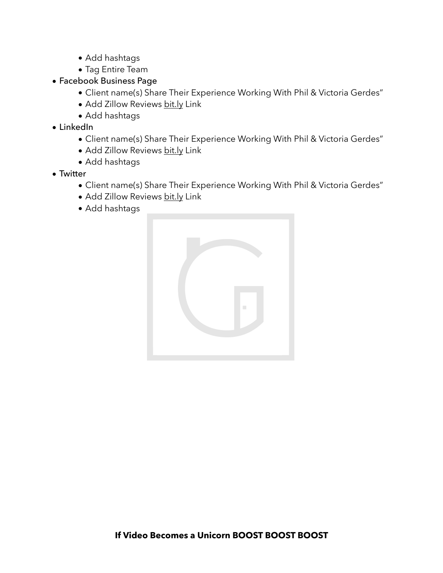- Add hashtags
- Tag Entire Team
- Facebook Business Page
	- Client name(s) Share Their Experience Working With Phil & Victoria Gerdes"
	- Add Zillow Reviews [bit.ly](http://bit.ly) Link
	- Add hashtags
- LinkedIn
	- Client name(s) Share Their Experience Working With Phil & Victoria Gerdes"
	- Add Zillow Reviews [bit.ly](http://bit.ly) Link
	- Add hashtags
- Twitter
	- Client name(s) Share Their Experience Working With Phil & Victoria Gerdes"
	- Add Zillow Reviews [bit.ly](http://bit.ly) Link
	- Add hashtags

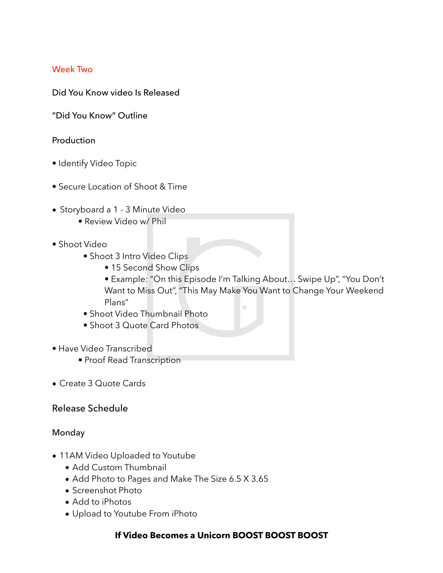## Week Two

Did You Know video Is Released

"Did You Know" Outline

#### Production

- Identify Video Topic
- Secure Location of Shoot & Time
- Storyboard a 1 3 Minute Video
	- Review Video w/ Phil
- Shoot Video
	- Shoot 3 Intro Video Clips
		- 15 Second Show Clips
		- Example: "On this Episode I'm Talking About… Swipe Up", "You Don't Want to Miss Out", "This May Make You Want to Change Your Weekend Plans"
	- Shoot Video Thumbnail Photo
	- Shoot 3 Quote Card Photos
- Have Video Transcribed
	- Proof Read Transcription
- Create 3 Quote Cards

## Release Schedule

## Monday

- 11AM Video Uploaded to Youtube
	- Add Custom Thumbnail
	- Add Photo to Pages and Make The Size 6.5 X 3.65
	- Screenshot Photo
	- Add to iPhotos
	- Upload to Youtube From iPhoto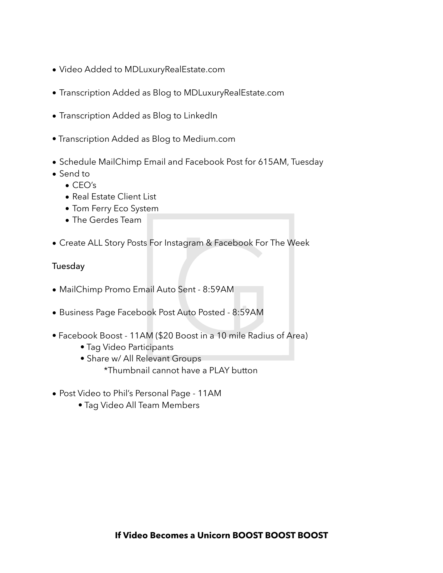- Video Added to MDLuxuryRealEstate.com
- Transcription Added as Blog to MDLuxuryRealEstate.com
- Transcription Added as Blog to LinkedIn
- Transcription Added as Blog to Medium.com
- Schedule MailChimp Email and Facebook Post for 615AM, Tuesday
- Send to
	- CEO's
	- Real Estate Client List
	- Tom Ferry Eco System
	- The Gerdes Team
- Create ALL Story Posts For Instagram & Facebook For The Week

## Tuesday

- MailChimp Promo Email Auto Sent 8:59AM
- Business Page Facebook Post Auto Posted 8:59AM
- Facebook Boost 11AM (\$20 Boost in a 10 mile Radius of Area)
	- Tag Video Participants
	- Share w/ All Relevant Groups
		- \*Thumbnail cannot have a PLAY button
- Post Video to Phil's Personal Page 11AM
	- Tag Video All Team Members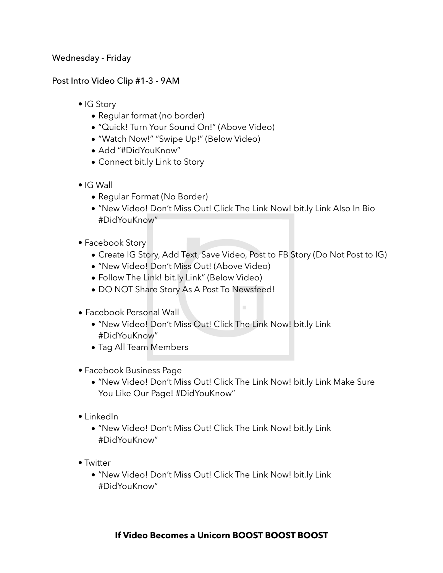Wednesday - Friday

Post Intro Video Clip #1-3 - 9AM

- IG Story
	- Regular format (no border)
	- "Quick! Turn Your Sound On!" (Above Video)
	- "Watch Now!" "Swipe Up!" (Below Video)
	- Add "#DidYouKnow"
	- Connect bit.ly Link to Story
- IG Wall
	- Regular Format (No Border)
	- "New Video! Don't Miss Out! Click The Link Now! bit.ly Link Also In Bio #DidYouKnow"
- Facebook Story
	- Create IG Story, Add Text, Save Video, Post to FB Story (Do Not Post to IG)

 $\mathcal{L}$ 

- "New Video! Don't Miss Out! (Above Video)
- Follow The Link! bit.ly Link" (Below Video)
- DO NOT Share Story As A Post To Newsfeed!
- Facebook Personal Wall
	- "New Video! Don't Miss Out! Click The Link Now! bit.ly Link #DidYouKnow"
	- Tag All Team Members
- Facebook Business Page
	- "New Video! Don't Miss Out! Click The Link Now! bit.ly Link Make Sure You Like Our Page! #DidYouKnow"
- LinkedIn
	- "New Video! Don't Miss Out! Click The Link Now! bit.ly Link #DidYouKnow"
- Twitter
	- "New Video! Don't Miss Out! Click The Link Now! bit.ly Link #DidYouKnow"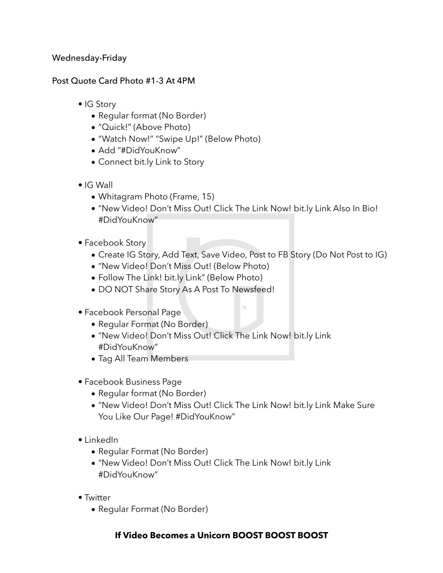## Wednesday-Friday

## Post Quote Card Photo #1-3 At 4PM

- IG Story
	- Regular format (No Border)
	- "Quick!" (Above Photo)
	- "Watch Now!" "Swipe Up!" (Below Photo)
	- Add "#DidYouKnow"
	- Connect bit.ly Link to Story
- IG Wall
	- Whitagram Photo (Frame, 15)
	- "New Video! Don't Miss Out! Click The Link Now! bit.ly Link Also In Bio! #DidYouKnow"
- Facebook Story
	- Create IG Story, Add Text, Save Video, Post to FB Story (Do Not Post to IG)

 $\mathcal{L}_{\mathcal{A}}$ 

- "New Video! Don't Miss Out! (Below Photo)
- Follow The Link! bit.ly Link" (Below Photo)
- DO NOT Share Story As A Post To Newsfeed!
- Facebook Personal Page
	- Regular Format (No Border)
	- "New Video! Don't Miss Out! Click The Link Now! bit.ly Link #DidYouKnow"
	- Tag All Team Members
- Facebook Business Page
	- Regular format (No Border)
	- "New Video! Don't Miss Out! Click The Link Now! bit.ly Link Make Sure You Like Our Page! #DidYouKnow"
- LinkedIn
	- Regular Format (No Border)
	- "New Video! Don't Miss Out! Click The Link Now! bit.ly Link #DidYouKnow"
- Twitter
	- Regular Format (No Border)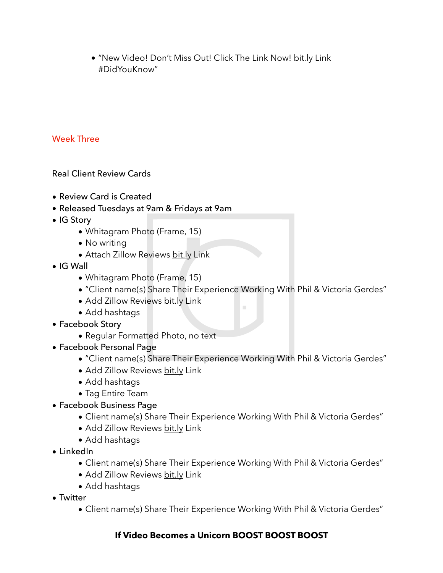• "New Video! Don't Miss Out! Click The Link Now! bit.ly Link #DidYouKnow"

# Week Three

Real Client Review Cards

- Review Card is Created
- Released Tuesdays at 9am & Fridays at 9am
- IG Story
	- Whitagram Photo (Frame, 15)
	- No writing
	- Attach Zillow Reviews [bit.ly](http://bit.ly) Link
- IG Wall
	- Whitagram Photo (Frame, 15)
	- "Client name(s) Share Their Experience Working With Phil & Victoria Gerdes"
	- Add Zillow Reviews [bit.ly](http://bit.ly) Link
	- Add hashtags
- Facebook Story
	- Regular Formatted Photo, no text
- Facebook Personal Page
	- "Client name(s) Share Their Experience Working With Phil & Victoria Gerdes"
	- Add Zillow Reviews [bit.ly](http://bit.ly) Link
	- Add hashtags
	- Tag Entire Team
- Facebook Business Page
	- Client name(s) Share Their Experience Working With Phil & Victoria Gerdes"
	- Add Zillow Reviews [bit.ly](http://bit.ly) Link
	- Add hashtags
- LinkedIn
	- Client name(s) Share Their Experience Working With Phil & Victoria Gerdes"
	- Add Zillow Reviews [bit.ly](http://bit.ly) Link
	- Add hashtags
- Twitter
	- Client name(s) Share Their Experience Working With Phil & Victoria Gerdes"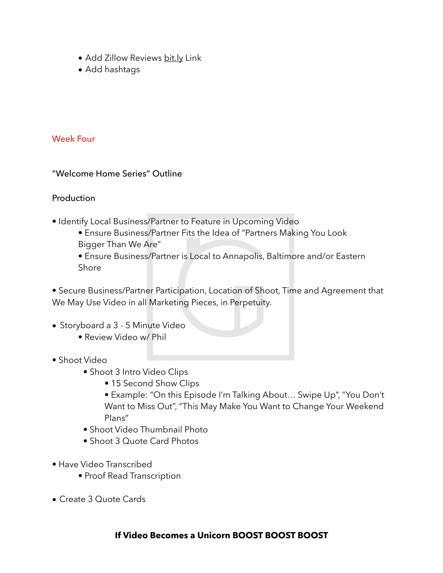- Add Zillow Reviews [bit.ly](http://bit.ly) Link
- Add hashtags

## Week Four

## "Welcome Home Series" Outline

## Production

- Identify Local Business/Partner to Feature in Upcoming Video
	- Ensure Business/Partner Fits the Idea of "Partners Making You Look Bigger Than We Are"
	- Ensure Business/Partner is Local to Annapolis, Baltimore and/or Eastern Shore

• Secure Business/Partner Participation, Location of Shoot, Time and Agreement that We May Use Video in all Marketing Pieces, in Perpetuity.

- Storyboard a 3 5 Minute Video
	- Review Video w/ Phil
- Shoot Video
	- Shoot 3 Intro Video Clips
		- 15 Second Show Clips
		- Example: "On this Episode I'm Talking About… Swipe Up", "You Don't Want to Miss Out", "This May Make You Want to Change Your Weekend Plans"
	- Shoot Video Thumbnail Photo
	- Shoot 3 Quote Card Photos
- Have Video Transcribed
	- Proof Read Transcription
- Create 3 Quote Cards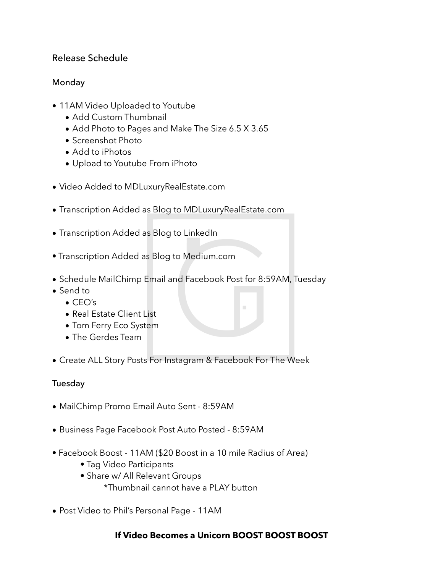# Release Schedule

## Monday

- 11AM Video Uploaded to Youtube
	- Add Custom Thumbnail
	- Add Photo to Pages and Make The Size 6.5 X 3.65
	- Screenshot Photo
	- Add to iPhotos
	- Upload to Youtube From iPhoto
- Video Added to MDLuxuryRealEstate.com
- Transcription Added as Blog to MDLuxuryRealEstate.com
- Transcription Added as Blog to LinkedIn
- Transcription Added as Blog to Medium.com
- Schedule MailChimp Email and Facebook Post for 8:59AM, Tuesday
- Send to
	- CEO's
	- Real Estate Client List
	- Tom Ferry Eco System
	- The Gerdes Team
- Create ALL Story Posts For Instagram & Facebook For The Week

## Tuesday

- MailChimp Promo Email Auto Sent 8:59AM
- Business Page Facebook Post Auto Posted 8:59AM
- Facebook Boost 11AM (\$20 Boost in a 10 mile Radius of Area)
	- Tag Video Participants
	- Share w/ All Relevant Groups
		- \*Thumbnail cannot have a PLAY button
- Post Video to Phil's Personal Page 11AM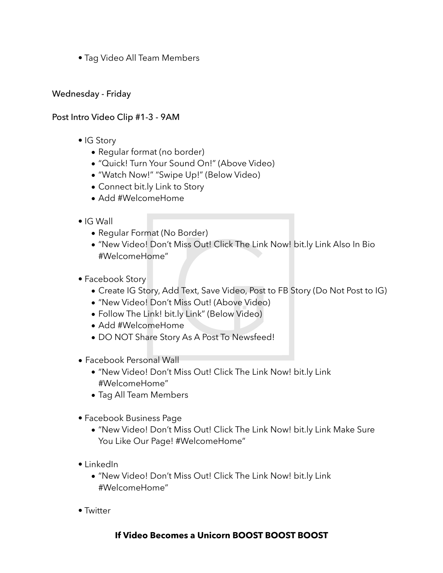• Tag Video All Team Members

## Wednesday - Friday

## Post Intro Video Clip #1-3 - 9AM

- IG Story
	- Regular format (no border)
	- "Quick! Turn Your Sound On!" (Above Video)
	- "Watch Now!" "Swipe Up!" (Below Video)
	- Connect bit.ly Link to Story
	- Add #WelcomeHome
- IG Wall
	- Regular Format (No Border)
	- "New Video! Don't Miss Out! Click The Link Now! bit.ly Link Also In Bio #WelcomeHome"
- Facebook Story
	- Create IG Story, Add Text, Save Video, Post to FB Story (Do Not Post to IG)
	- "New Video! Don't Miss Out! (Above Video)
	- Follow The Link! bit.ly Link" (Below Video)
	- Add #WelcomeHome
	- DO NOT Share Story As A Post To Newsfeed!
- Facebook Personal Wall
	- "New Video! Don't Miss Out! Click The Link Now! bit.ly Link #WelcomeHome"
	- Tag All Team Members
- Facebook Business Page
	- "New Video! Don't Miss Out! Click The Link Now! bit.ly Link Make Sure You Like Our Page! #WelcomeHome"
- LinkedIn
	- "New Video! Don't Miss Out! Click The Link Now! bit.ly Link #WelcomeHome"
- Twitter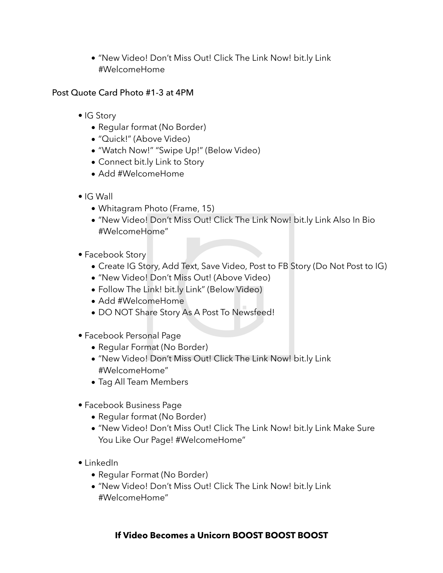• "New Video! Don't Miss Out! Click The Link Now! bit.ly Link #WelcomeHome

## Post Quote Card Photo #1-3 at 4PM

- IG Story
	- Regular format (No Border)
	- "Quick!" (Above Video)
	- "Watch Now!" "Swipe Up!" (Below Video)
	- Connect bit.ly Link to Story
	- Add #WelcomeHome
- IG Wall
	- Whitagram Photo (Frame, 15)
	- "New Video! Don't Miss Out! Click The Link Now! bit.ly Link Also In Bio #WelcomeHome"
- Facebook Story
	- Create IG Story, Add Text, Save Video, Post to FB Story (Do Not Post to IG)
	- "New Video! Don't Miss Out! (Above Video)
	- Follow The Link! bit.ly Link" (Below Video)
	- Add #WelcomeHome
	- DO NOT Share Story As A Post To Newsfeed!
- Facebook Personal Page
	- Regular Format (No Border)
	- "New Video! Don't Miss Out! Click The Link Now! bit.ly Link #WelcomeHome"
	- Tag All Team Members
- Facebook Business Page
	- Regular format (No Border)
	- "New Video! Don't Miss Out! Click The Link Now! bit.ly Link Make Sure You Like Our Page! #WelcomeHome"
- LinkedIn
	- Regular Format (No Border)
	- "New Video! Don't Miss Out! Click The Link Now! bit.ly Link #WelcomeHome"